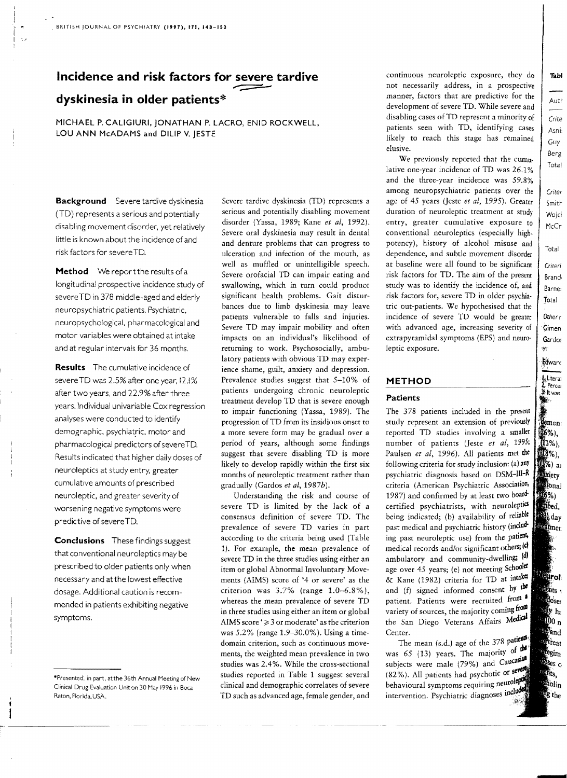# Incidence and risk factors for <u>severe</u> tardive<br>dyskinesia in older patients\* **dyskinesia in older patients\***

MICHAEL P. CALIGIURI, JONATHAN P. LACRO, ENID ROCKWELL, LOU ANN McADAMS and DILIP V. JESTE

Background Severe tardive dyskinesia (TO) represents a serious and potentially disabling movement disorder, yet relatively little is known aboutthe incidence of and risk factors for severe TO.

Method We report the results of a longitudinal prospective incidence study of severeTO in 378 middle-aged and elderly neuropsychiatric patients. Psychiatric, neuropsychological. pharmacological and motor variables were obtained at intake and at regular intervals for 36 months.

Results The cumulative incidence of severeTO was 2.5% after one year, 12.1% after two years, and 22.9% after three years. Individual univariable Cox regression analyses were conducted to identify demographic, psychiatric, motor and pharmacological predictors of severe TD. Results indicated that higher daily doses of neuroleptics at study entry, greater cumulative amounts of prescribed neuroleptic, and greater severity of worsening negative symptoms were predictive of severe TD.

Conclusions These findings suggest that conventional neuroleptics may be prescribed to older patients only when necessary and at the lowest effective dosage. Additional caution is recommended in patients exhibiting negative symptoms.

Severe tardive dyskinesia (TD) represents a serious and potentially disabling movement disorder (Yassa, 1989; Kane *et ai,* 1992). Severe oral dyskinesia may result in dental and denture problems that can progress to ulceration and infection of the mouth, as well as muffled or unintelligible speech. Severe orofacial TD can impair eating and swallowing, which in turn could produce significant health problems. Gait disturbances due to limb dyskinesia may leave patients vulnerable to falls and injuries. Severe TD may impair mobility and often impacts on an individual's likelihood of returning to work. Psychosocially, ambulatory patients with obvious TD may experience shame, guilt, anxiety and depression. Prevalence studies suggest that 5-10% of patients undergoing chronic neuroleptic treatment develop TD that is severe enough to impair functioning (Yassa, 1989). The progression of TD from its insidious onset to a more severe form may be gradual over a period of years, although some findings suggest that severe disabling TD is more likely to develop rapidly within the first six months of neuroleptic treatment rather than gradually (Gardos *et aI,* 1987b).

Understanding the risk and course of severe TD is limited by the lack of a consensus definition of severe TD. The prevalence of severe TD varies in part according to the criteria being used (Table 1). For example, the mean prevalence of severe TD in the three studies using either an item or global Abnormal Involuntary Movements (AIMS) score of '4 or severe' as the criterion was 3.7% (range 1.0-6.8%), whereas the mean prevalence of severe TD in three studies using either an item or global AIMS score ' $\geq$  3 or moderate' as the criterion was 5.2% (range 1.9-30.0%). Using a timedomain criterion, such as continuous movements, the weighted mean prevalence in two studies was 2.4%. While the cross-sectional studies reported in Table 1 suggest several clinical and demographic correlates of severe TD such as advanced age, female gender, and continuous neuroleptic exposure, they do not necessarily address, in a prospective manner, factors that are predictive for the development of severe TD. While severe and disabling cases of TD represent a minority of patients seen with TD, identifying cases likely to reach this stage has remained elusive.

We previously reported that the cumulative one-year incidence of TD was 26.1% and the three-year incidence was 59.8% among neuropsychiatric patients over the age of 45 years (Jeste et al, 1995). Greater duration of neuroleptic treatment at study entry, greater cumulative exposure to conventional neuroleptics (especially highpotency), history of alcohol misuse and dependence, and subtle movement disorder at baseline were all found to be significant risk factors for TD. The aim of the present study was to identify the incidence of, and risk factors for, severe TD in older psychia· tric out-patients. We hypothesised that the incidence of severe TD would be greater with advanced age, increasing severity of extrapyramidal symptoms (EPS) and neuro· leptic exposure.

#### **METHOD**

#### Patients

The 378 patients included in the present study represent an extension of previously reported TD studies involving a smaller number of patients (Jeste et al, 1995; Paulsen *et al*, 1996). All patients met the following criteria for study inclusion: (a) any psychiatric diagnosis based on DSM-III-R criteria (American Psychiatric Association, 1987) and confirmed by at least two boardcertified psychiatrists, with neuroleptics being indicated; (b) availability of reliable past medical and psychiatric history (including past neuroleptic use) from the patient. medical records and/or significant others; (c) ambulatory and community-dwelling; (d) age over 45 years; (e) not meeting Schoola & Kane (1982) criteria for TD at intake; and (f) signed informed consent by  $\mathbf{t}$ patient. Patients were recruited from variety of sources, the majority coming from the San Diego Veterans Affairs Medical Center.

The mean (s.d.) age of the  $378$  patients was 65 (13) years. The majority of  $\frac{dP}{dt}$ subjects were male (79%) and Caucasian (82%). All patients had psychotic or behavioural symptoms requiring neuroleptical intervention. Psychiatric diagnoses include

<sup>·</sup>Presented. in part, atthe 36th Annual Meeting of New Clinical Drug Evaluation Unit on 30 May 1996 in Boca Raton, Florida, USA.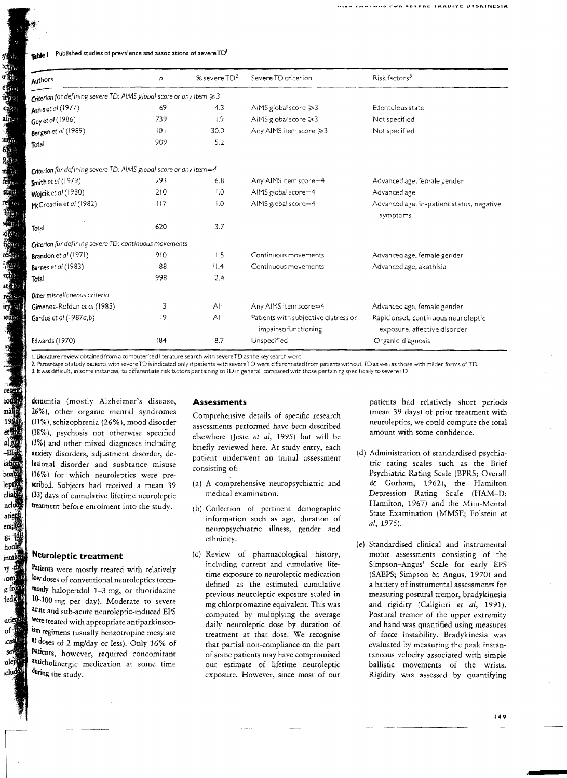| Published studies of prevalence and associations of severe TD'<br>fable i |     |                  |                                                              |                                                                     |  |  |  |  |  |
|---------------------------------------------------------------------------|-----|------------------|--------------------------------------------------------------|---------------------------------------------------------------------|--|--|--|--|--|
| Authors                                                                   | n   | % severe $TD^2$  | Severe TD criterion                                          | Risk factors <sup>3</sup>                                           |  |  |  |  |  |
| Criterion for defining severe TD: AIMS global score or any item $\geq 3$  |     |                  |                                                              |                                                                     |  |  |  |  |  |
| Asnis et al (1977)                                                        | 69  | 4.3              | AIMS global score $\geq 3$                                   | Edentulous state                                                    |  |  |  |  |  |
| Guy et al (1986)                                                          | 739 | 1.9              | AIMS global score $\geq 3$                                   | Not specified                                                       |  |  |  |  |  |
| Bergen et al (1989)                                                       | 0   | 30.0             | Any AIMS item score ≥3                                       | Not specified                                                       |  |  |  |  |  |
| 1otal                                                                     | 909 | 5.2              |                                                              |                                                                     |  |  |  |  |  |
| Criterion for defining severe TD: AIMS global score or any item=4         |     |                  |                                                              |                                                                     |  |  |  |  |  |
| Smith et al (1979)                                                        | 293 | 6, 8             | Any AIMS item score=4                                        | Advanced age, female gender                                         |  |  |  |  |  |
| Wojcik et al (1980)                                                       | 210 | $\overline{1.0}$ | AIMS global score=4                                          | Advanced age                                                        |  |  |  |  |  |
| McCreadie et al (1982)                                                    | 117 | 1.0              | AIMS global score=4                                          | Advanced age, in-patient status, negative<br>symptoms               |  |  |  |  |  |
| Total                                                                     | 620 | 3.7              |                                                              |                                                                     |  |  |  |  |  |
| Criterion for defining severe TD: continuous movements                    |     |                  |                                                              |                                                                     |  |  |  |  |  |
| Brandon et al (1971)                                                      | 910 | 1.5              | Continuous movements                                         | Advanced age, female gender                                         |  |  |  |  |  |
| Barnes et al (1983)                                                       | 88  | 11.4             | Continuous movements                                         | Advanced age, akathisia                                             |  |  |  |  |  |
| Total                                                                     | 998 | 2,4              |                                                              |                                                                     |  |  |  |  |  |
| Other miscellaneous criteria                                              |     |                  |                                                              |                                                                     |  |  |  |  |  |
| Gimenez-Roldan et al (1985)                                               | 3   | All              | Any AIMS item score=4                                        | Advanced age, female gender                                         |  |  |  |  |  |
| Gardos et al (1987a,b)                                                    | 19  | All              | Patients with subjective distress or<br>impaired functioning | Rapid onset, continuous neuroleptic<br>exposure, affective disorder |  |  |  |  |  |
| Edwards (1970)                                                            | 184 | 8.7              | Unspecified                                                  | 'Organic' diagnosis                                                 |  |  |  |  |  |

I. Literature review obtained from a computerised literature search witn severeTO as the key search word.

2. Percentage of study patients with severe TD is indicated only if patients with severe TD were differentiated from patients without TD as well as those with milder forms of TD.

3. It was difficult, in some instances, to differentiate risk factors per taining toTD in general, compared with those pertaining specifically to severeTD.

dementia (mostly Alzheimer's disease, 26%), other organic mental syndromes (11%), schizophrenia (26%), mood disorder (18%), psychosis not otherwise specified (3%) and other mixed diagnoses including anxiety disorders, adjustment disorder, delusional disorder and susbtance misuse 116%) for which neuroleptics were prescribed. Subjects had received a mean 39 (33) days of cumulative lifetime neuroleptic treatment before enrolment into the study.

### **Neuroleptic treatment**

Patients were mostly treated with relatively low doses of conventional neuroleptics (commonly haloperidol 1-3 mg, or thioridazine 10-100 mg per day). Moderate to severe acute and sub-acute neuroleptic-induced EPS were treated with appropriate antiparkinsonism regimens (usually benzotropine mesylate at doses of 2 mg/day or less). Only 16% of patients, however, required concomitant anticholinergic medication at some time during the study.

#### **Assessments**

Comprehensive details of specific research assessments performed have been described elsewhere (Jeste et al, 1995) but will be briefly reviewed here. At study entry, each patient underwent an initial assessment consisting of:

- (a) A comprehensive neuropsychiatric and medical examination.
- (b) Collection of pertinent demographic information such as age, duration of neuropsychiatric illness, gender and ethnicity.
- (c) Review of pharmacological history, including current and cumulative lifetime exposure to neuroleptic medication defined as the estimated cumulative previous neuroleptic exposure scaled in mg chlorpromazine equivalent. This was computed by multiplying the average daily neuroleptic dose by duration of treatment at that dose. We recognise that partial non-compliance on the part of some patients may have compromised our estimate of lifetime neuroleptic exposure. However, since most of our

patients had relatively short periods (mean 39 days) of prior treatment with neuroleptics, we could compute the total amount with some confidence.

- (d) Administration of standardised psychiatric rating scales such as the Brief Psychiatric Rating Scale (BPRS; Overall & Gorham, 1962), the Hamilton Depression Rating Scale (HAM-D; Hamilton, 1967) and the Mini-Mental State Examination (MMSE; Folstein *et ai,* 1975).
- (e) Standardised clinical and instrumental motor assessments consisting of the Simpson-Angus' Scale for early EPS (SAEPS; Simpson & Angus, 1970) and a battery of instrumental assessments for measuring postural tremor, bradykinesia and rigidity (Caligiuri *et ai,* 1991). Postural tremor of the upper extremity and hand was quantified using measures of force instability. Bradykinesia was evaluated by measuring the peak instantaneous velocity associated with simple ballistic movements of the wrists. Rigidity was assessed by quantifying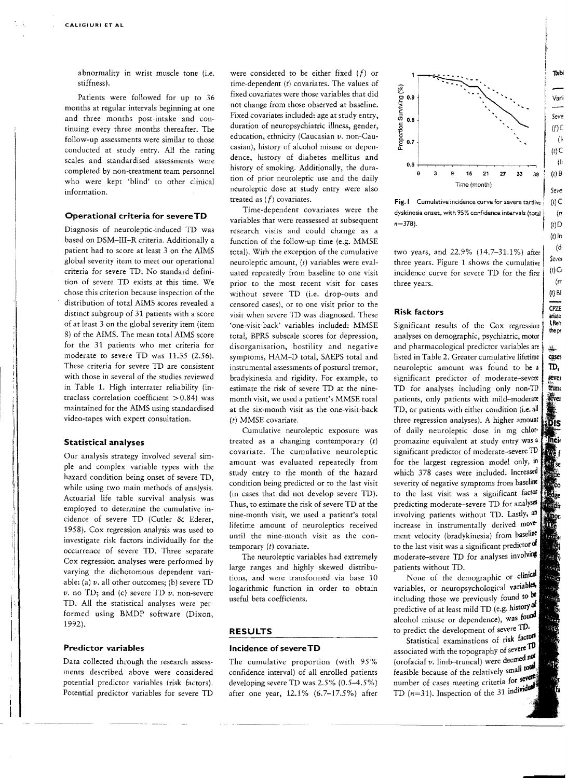abnormality in wrist muscle tone (i.e. stiffness) .

Patients were followed for up to 36 months at regular intervals beginning at one and three months post-intake and continuing every three months thereafter. The follow-up assessments were similar to those conducted at study entry. All the rating scales and standardised assessments were completed by non-treatment team personnel who were kept 'blind' to other clinical information.

#### **Operational criteria for severeTO**

Diagnosis of neuroleptic-induced TD was based on DSM-III-R criteria. Additionally a patient had to score at least 3 on the AIMS global severity item to meet our operational criteria for severe TD. No standard definition of severe TD exists at this time. We chose this criterion because inspection of the distribution of total AIMS scores revealed a distinct subgroup of 31 patients with a score of at least 3 on the global severity item (item 8) of the AIMS. The mean total AIMS score for the 31 patients who met criteria for moderate to severe TD was 11.35 (2.56). These criteria for severe TD are consistent with those in several of the studies reviewed in Table 1. High interrater reliability (in traclass correlation coefficient  $> 0.84$ ) was maintained for the AIMS using standardised video-tapes with expert consultation.

#### I **Statistical analyses**

Our analysis strategy involved several simple and complex variable types with the hazard condition being onset of severe TD, while using two main methods of analysis. hazard condition being onset of severe TD, while using two main methods of analysis. Actuarial life table survival analysis was Actuarial life table survival analysis was<br>employed to determine the cumulative incidence of severe TD (Cutler & Ederer, 1958). Cox regression analysis was used to investigate risk factors individually for the occurrence of severe TD. Three separate Cox regression analyses were performed by varying the dichotomous dependent variable: (a) *v.* all other outcomes; (b) severe TD  $\nu$ . no TD; and (c) severe TD  $\nu$ . non-severe TD. All the statistical analyses were performed using BMDP software (Dixon, 1992).

#### **Predictor variables**

Data collected through the research assessments described above were considered potential predictor variables (risk factors). Potential predictor variables for severe TD were considered to be either fixed *(f)* or time-dependent  $(t)$  covariates. The values of fixed covariates were those variables that did not change from those observed at baseline. Fixed covariates included: age at study entry, duration of neuropsychiatric illness, gender, education, ethnicity (Caucasian *v.* non-Caucasian), history of alcohol misuse or dependence, history of diabetes mellitus and history of smoking. Additionally, the duration of prior neuroleptic use and the daily neuroleptic dose at study entry were also treated as  $(f)$  covariates.

Time-dependent covariates were the variables that were reassessed at subsequent research visits and could change as a function of the follow-up time (e.g. MMSE total). With the exception of the cumulative neuroleptic amount, (t) variables were evaluated repeatedly from baseline to one visit prior to the most recent visit for cases without severe TD (i.e. drop-outs and censored cases), or to one visit prior to the visit when severe TD was diagnosed. These 'one-visit-back' variables included: MMSE total, BPRS subscale scores for depression, disorganisation, hostility and negative symptoms, HAM-D total, SAEPS total and instrumental assessments of postural tremor, bradykinesia and rigidity. For example, to estimate the risk of severe TD at the ninemonth visit, we used a patient's MMSE total at the six-month visit as the one-visit-back (t) MMSE covariate.

Cumulative neuroleptic exposure was treated as a changing contemporary (t) covariate. The cumulative neuroleptic amount was evaluated repeatedly from study entry to the month of the hazard condition being predicted or to the last visit (in cases that did not develop severe TD). Thus, to estimate the risk of severe TD at the nine-month visit, we used a patient's total lifetime amount of neuroleptics received until the nine-month visit as the contemporary (t) covariate.

The neuroleptic variables had extremely large ranges and highly skewed distributions, and were transformed via base 10 logarithmic function in order to obtain useful beta coefficients.

#### **RESULTS**

#### **Incidence of severe TD**

The cumulative proportion (with 95% confidence interval) of all enrolled patients developing severe TD was 2.5% (0.5-4.5%) after one year, 12.1% (6.7-17.5%) after



I

Fig. I Cumulative incidence curve for severe tardive dyskinesia onset, with 95% confidence intervals (total **1 (t)**<br>n=378).

two years, and 22.9% (14.7-31.1%) after three years. Figure 1 shows the cumulative incidence curve for severe TD for the first three years.

#### **Risk factors**

Significant results of the Cox regression analyses on demographic, psychiatric, motor and pharmacological predictor variables are listed in Table 2. Greater cumulative lifetime neuroleptic amount was found to be 3 significant predictor of moderate-severe TD for analyses including only non-TD patients, only patients with mild-moderare TD, or patients with either condition (i.e. all three regression analyses). A higher amount of daily neuroleptic dose in mg chlor· promazine equivalent at study entry was a significant predictor of moderate-severe TD for the largest regression model only, in which 378 cases were included. Increased severity of negative symptoms from baseline to the last visit was a significant factor predicting moderate-severe TD for analyses involving patients without TD. Lastly, all increase in instrumentally derived movement velocity (bradykinesia) from baseline to the last visit was a significant predictor of moderate-severe TD for analyses involving patients without TD.

None of the demographic or clinical variables, or neuropsychological variables. including those we previously found to be predictive of at least mild TD (e.g. history of alcohol misuse or dependence), was found to predict the development of severe TD.

Statistical examinations of risk factors associated with the topography of severe TD (orofacial *v.* limb-truncal) were deemed feasible because of the relatively small number of cases meeting criteria for severe TD  $(n=31)$ . Inspection of the 31 individual

. The contract of the contract of  $\mathcal{L}$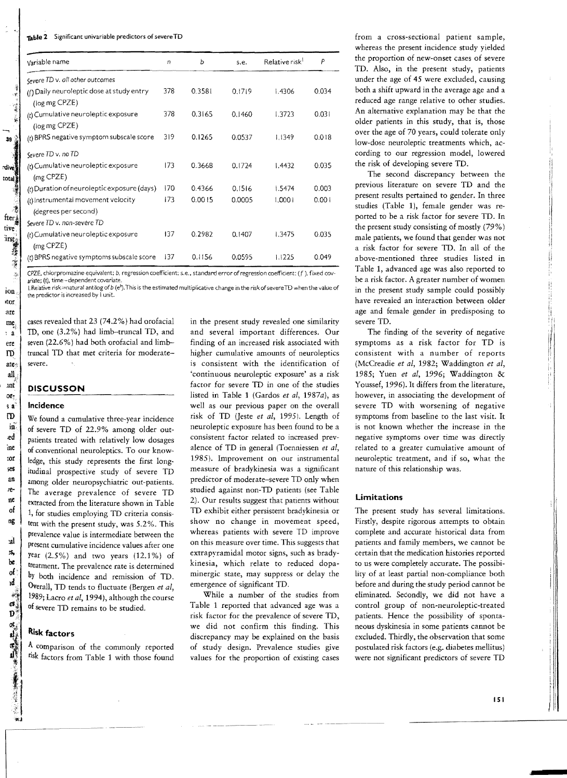| Variable name                                              |     | ь      | s.e.   | Relative risk <sup>1</sup> | P     |
|------------------------------------------------------------|-----|--------|--------|----------------------------|-------|
| Severe TD v. all other outcomes                            |     |        |        |                            |       |
| (f) Daily neuroleptic dose at study entry<br>(log mg CPZE) | 378 | 0.3581 | 0.1719 | 1.4306                     | 0.034 |
| (t) Cumulative neuroleptic exposure<br>(log mg CPZE)       | 378 | 0.3165 | 0.1460 | 1.3723                     | 0.031 |
| $(t)$ BPRS negative symptom subscale score                 | 319 | 0.1265 | 0.0537 | 1.1349                     | 0.018 |
| Severe TD v. no TD                                         |     |        |        |                            |       |
| (t) Cumulative neuroleptic exposure<br>$(mg$ CPZE)         | 173 | 0.3668 | 0.1724 | 1.4432                     | 0.035 |
| (t) Duration of neuroleptic exposure (days)                | 170 | 0.4366 | 0.1516 | 1.5474                     | 0.003 |
| (t) Instrumental movement velocity<br>(degrees per second) | 173 | 0.0015 | 0.0005 | 1,0001                     | 0.001 |
| Severe TD v. non-severe TD                                 |     |        |        |                            |       |
| (t) Cumulative neuroleptic exposure<br>$(mg$ CPZE)         |     | 0.2982 | 0.1407 | 1.3475                     | 0.035 |
| (t) BPRS negative symptoms subscale score                  | 137 | 0.1156 | 0.0595 | 1.1225                     | 0.049 |

CPZE, chlorpromazine equivalent; *b*, regression coefficient; s.e., standard error of regression coefficient; (f), fixed covariate; (t). time-dependent covariate.

I. Relative risk=natural antilog of *b* (e<sup>b</sup>). This is the estimated multiplicative change in the risk of severe TD when the value of the predictor is incre ased by I unit.

cases revealed that 23 (74.2%) had orofacial TD, one (3.2%) had limb-truncal TD, and seven (22.6%) had both orofacial and limbtruncal TD that met criteria for moderatesevere.

#### **DISCUSSON**

#### Incidence

We found a cumulative three-year incidence of severe TD of 22.9% among older outpatients treated with relatively low dosages of conventional neuroleptics. To our knowledge, this study represents the first longitudinal prospective study of severe TD among older neuropsychiatric out-patients. The average prevalence of severe TD extracted from the literature shown in Table 1, for studies employing TD criteria consistent with the present study, was 5.2%. This prevalence value is intermediare between the present cumulative incidence values after one year  $(2.5\%)$  and two years  $(12.1\%)$  of treatment. The prevalence rate is determined by both incidence and remission of TD. Overall, TD tends to fluctuate (Bergen *et ai,*  1989; Lacro *et at,* 1994), although the course of severe TD remains to be studied.

## Risk factors

A comparison of the commonly reported risk factors from Table 1 with those found

in the present study revealed one similarity and several important differences. Our finding of an increased risk associated with higher cumulative amounts of neuroleptics is consistent with the identification of 'continuous neuroleptic exposure' as a risk factor for severe TD in one of the studies listed in Table 1 (Gardos *et* ai, 1987a), as well as our previous paper on the overall risk of TD (Jeste *et al*, 1995). Length of neuroleptic exposure has been found to be a consistent factor related to increased prevalence of TD in general (Toenniessen *et at,*  1985). Improvement on our instrumental measure of bradykinesia was a significant predictor of moderate-severe TD only when studied against non-TD patients (see Table 2). Our results suggest that patients without TD exhibit either persistent bradykinesia or show no change in movement speed, whereas patients with severe TD improve on this measure over time. This suggests that extrapyramidal motor signs, such as bradykinesia, which relate to reduced dopaminergic state, may suppress or delay the emergence of significant TD.

While a number of the studies from Table 1 reported that advanced age was a risk factor for the prevalence of severe TD, we did not confirm this finding. This discrepancy may be explained on the basis of study design. Prevalence studies give values for the proportion of existing cases

from a cross-sectional patient sample, whereas the present incidence study yielded the proportion of new-onset cases of severe TD. Also, in the present study, patients under the age of 45 were excluded, causing both a shift upward in the average age and a reduced age range relative to other studies. An alternative explanation may be that the older patients in this study, that is, those over the age of 70 years, could tolerate only low-dose neuroleptic treatments which, according to our regression model, lowered the risk of developing severe TD.

The second discrepancy between the previous literature on severe TD and the present results pertained to gender. In three studies (Table 1), female gender was reported to be a risk factor for severe TD. In the present study consisting of mostly (79 %) male patients, we found that gender was not a risk factor for severe TD. In all of the a bove-mentioned three studies listed in Table 1, advanced age was also reported to be a risk factor. A greater number of women in the present study sample could possibly have revealed an interaction between older age and female gender in predisposing to severe TD.

The finding of the severity of negative symptoms as a risk factor for TD is consistent with a number of reports (McCreadie *et aI,* 1982; Waddington *et at,*  1985; Yuen *et aI,* 1996; Waddington & Youssef, 1996). It differs from the literature, however, in associating the development of severe TD with worsening of negative symptoms from baseline to the last visit. It is not known whether the increase in the negative symptoms over time was directly related to a greater cumulative amount of neuroleptic treatment, and if so, what the nature of this relationship was.

#### Limitations

The present study has several limitations. Firstly, despite rigorous attempts to obtain complete and accurate historical data from patients and family members, we cannot be certain that the medication histories reported to us were completely accurate. The possibility of at least partial non-compliance both before and during the study period cannot be eliminated. Secondly, we did not have a control group of non-neuroleptic-treated patients. Hence the possibility of spontaneous dyskinesia in some patients cannot be excluded. Thirdly, the observation that some postulated risk factors (e.g. diabetes mellitus) were not significant predictors of severe TD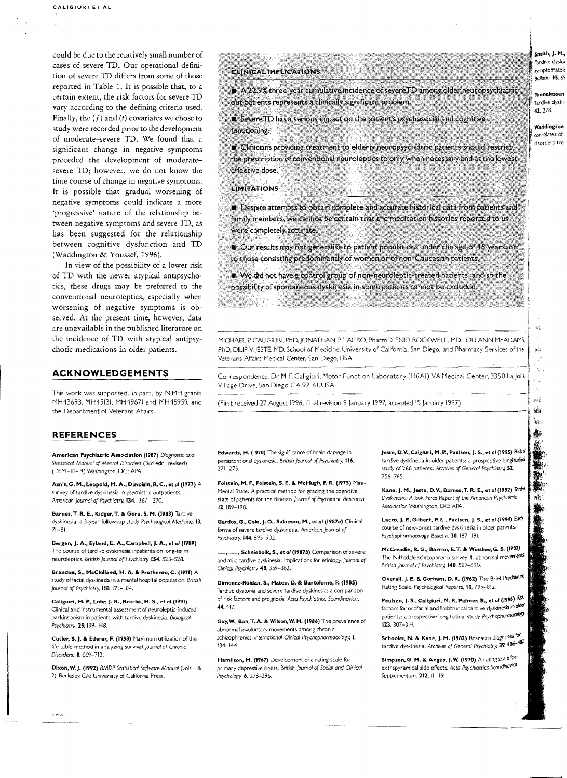could be due to the relatively small number of cases of severe TD. Our operational definition of severe TD differs from some of those reported in Table 1. It is possible that, to a certain extent, the risk factors for severe TD vary according to the defining criteria used. Finally, the  $(f)$  and  $(t)$  covariates we chose to study were recorded prior to the development of moderate-severe TD. We found that a significant change in negative symptoms preceded the development of moderatesevere TD; however, we do not know the time course of change in negative symptoms. It is possible that gradual worsening of negative symptoms could indicate a more 'progressive' nature of the relationship between negative symptoms and severe TD, as has been suggested for the relationship between cognitive dysfunction and TD (Waddington & Youssef, 1996).

In view of the possibility of a lower risk of TD with the newer atypical antipsychotics, these drugs may be preferred to the conventional neuroleptics, especially when worsening of negative symptoms is observed. At the present time, however, data are unavailable in the published literature on the incidence of TD with atypical antipsychotic medications in older patients.

#### ACKNOWLEDGEMENTS

This work was supported, in part. by NIMH grants MH43693. MH45131, MH4967i and MH45959, and the Department of Veterans Affairs.

#### REFERENCES

American Psychiatric A\$Sociadon (1987) *Diagnostic ond*  Statistical *Manual* Df Mental *Disorders* (3rd edn, revised) (DSM-III-R).Washington. DC: APA.

Asnis, G. M., Leopold, M. A., Duvoisin, R. C., et al (1977) A survey of tardive dyskinesia in psychiatric outpatients, American Journal of *Psychiatry.* 134. 1367-1370.

Barnes, T. R. E., Kidger, T. & Gore, S. M. (1983) Tardive dyskinesia: a 3-year follow-up study. Psychological Medicine, 13,  $71 - 81$ 

Bergen, J. A., Eyland, E. A., Campbell, J. A., et al (1989) The course of tardive dyskinesia inpatients on long-term neuroleptics. *British Journal of Psychiatry.* 154, 523-528.

Brandon, S., McClelland, H. A. & Protheroe, C. (1971) A study offacial dyskinesia in a mental hospital population. British *Journal* of *Psychiatry.* 118. 171-184.

Caligiuri, M. P., Lohr, J. B., Bracha, H. S., et al (1991) Clinical and instrumental assessment of neuroleptic-incuced parkinsonism in patients with tardive dyskinesia. Biological *Psychiatry.* 29, 139-148.

Cutler. s. J. & Ederer. F. (1958) Maximum utilization of the life table method in analyzing survival. Journal of Chronic Disorders. **8**, 669-712.

Dixon, W. J. (1992) BMDP Statistical Software Manual (vols I & 2). Berkeley, CA: University of California Press.

#### **CLINICAL IMPLICATIONS**

A 22.9% three-year cumulative incidence of severe TD among older neuropsychiatric out-patients represents a clinically significant problem.

Severe TD has a serious impact on the patient's psychosocial and cognitive functioning.

Clinicians providing treatment to elderly neuropsychiatric patients should restrict the prescription of conventional neuroleptics to only when necessary and at the lowest effective dose.

#### **LIMITATIONS**

Despite attempts to obtain complete and accurate historical data from patients and family members, we cannot be certain that the medication histories reported to us were completely accurate.

Our results may not generalise to patient populations under the age of 45 years, or to those consisting predominantly of women or of non-Caucasian patients.

We did not have a control group of non-neuroleptic-treated patients, and so the possibility of spontaneous dyskinesia in some patients cannot be excluded.

MICHAEL P. CALIGiURI. PhD, JONATHAN P. LACRO, Pharm 0, ENID ROCKWELL. MD. LOU ANN McADAMS, PhD, DILIP V. JESTE. MD, School of Medicine, University of California, San Diego, and Pharmacy Services of the Veterans Affairs Medical Center, San Diego, USA

Correspondence: Dr M. P. Caligiuri, Motor Function Laboratory (116AI), VA Medical Center, 3350 La Jolla Village Drive, San Diego, CA 92161, USA

(First received 27 August 1996, final revision 9 January 1997, accepted 15 January 1997)

Edwards, H. (1970) The significance of brain damage in persistent oral dyskinesia. British *Journal of Psychiatry*, 116. 271-275.

Folstein, M. F., Folstein, S. E. & McHugh, P. R. (1975) Mini-Mental State: A practical method for grading the cognitive state of patients for the clinician. *journal of Psychiatric Research,*  12,IB9-198.

Gardos, G., Cole, J. O., Salomon, M., et al (1987a) Clinical forms of severe tarelye dyskinesia. American journal of Psychiatry. **144.** 895-902.

..., Schniebolk, S., et al (1987b) Comparison of severe ard mild tardive dyskinesia: implications for etiology. *journol* of Clinical Psychiatry. 48. 359-362.

Gimenez-Roldan, S., Mateo, D. & Bartolome, P. (1985) Tardive dystonia and severe tardive dyskinesia: a comparison of risk factors and prognosis. Acta Psychiatrica Scandinavica, 44.417.

Guy, W., Ban.T. A. & Wilson,W. H. (1986) The prevalence of abnormal involuntary movements among chronic schizophrenics, International *Oin.ico!* Psychopharmacology. J. 134-144

Hamilton, M. (1967) Development of a rating scale *for*  primary depressive illness. British *Journol* of Social *and* Clinical *Psychology.* 6. 278-296.

**Jeste, D.V., Calgiuri, M. P., Paulsen, J. S., et al (1995)** Risko tardive dyskinesia in older patients: a prospective longitudina study of 266 patients. Archives of *General* Psychiatry. 51 756-765.

Kane, J. M., Jeste, D. V., Barnes, T. R. E., et al (1992) Tardie *Dyskinesia:* A *Task* Force *Report* ofthe *American Psycholtric*  Association. Washington, DC: APA.

Lacro, J. P., Gilbert, P. L., Paulsen, J. S., et al (1994) Early course of new~on5et tardive dyskinesia in older patients. Psychopharmacology Bulletin, 30, 187-191.

McCreadie, R. G.., Barron, E. T. & Winslow, G. S. (1981) The Nithsdale schizophrenia survey II: abnormal movements British *Journal* of *Psychiatry.* 140,537-590.

Overall, J. E. & Gorham, D. R. (1962) The Brief Psychiatrk Rilting Scale. Psychoiogical *Reports,* 10.799-812.

Paulsen, J. S., Caligiuri, M. P., Palmer, B., et al (1996) Risk factors for orofacial and IImbt;uncal tardive dyskinesia in *cJbd*  patients: a prospective longitudinal study. Psychophormacology 123.307-314.

Schooler, N. & Kane, J. M. (1982) Research diagnoses for tardive dyskinesia. Archives of *General Psychiotry.* 39,4S6-48T.

Simpson, G. M. & Angus, J.W. (1970) A rating scale for extrapyramidal side effects. *Acta Psychiatrica ScandinoyfcO*  \$upplementum, 212. 11-19.